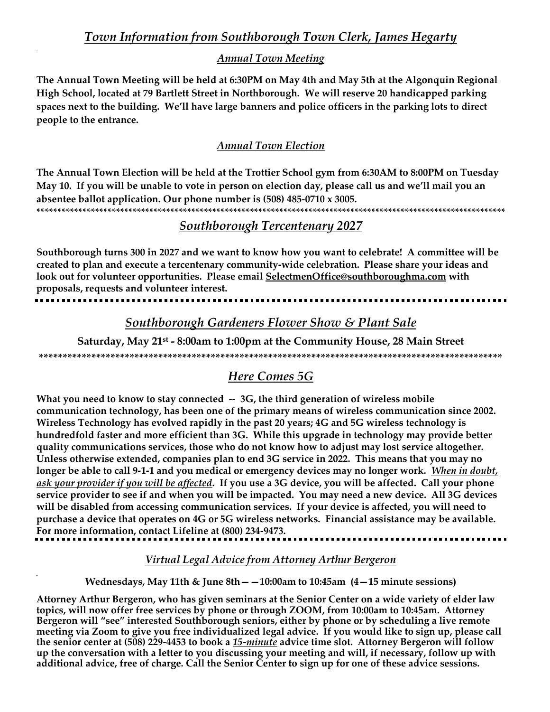# Town Information from Southborough Town Clerk, James Hegarty

### **Annual Town Meeting**

The Annual Town Meeting will be held at 6:30PM on May 4th and May 5th at the Algonquin Regional High School, located at 79 Bartlett Street in Northborough. We will reserve 20 handicapped parking spaces next to the building. We'll have large banners and police officers in the parking lots to direct people to the entrance.

## **Annual Town Election**

The Annual Town Election will be held at the Trottier School gym from 6:30AM to 8:00PM on Tuesday May 10. If you will be unable to vote in person on election day, please call us and we'll mail you an absentee ballot application. Our phone number is  $(508)$  485-0710 x 3005.

## **Southborough Tercentenary 2027**

Southborough turns 300 in 2027 and we want to know how you want to celebrate! A committee will be created to plan and execute a tercentenary community-wide celebration. Please share your ideas and look out for volunteer opportunities. Please email SelectmenOffice@southboroughma.com with proposals, requests and volunteer interest.

## Southborough Gardeners Flower Show & Plant Sale

Saturday, May 21<sup>st</sup> - 8:00am to 1:00pm at the Community House, 28 Main Street 

# **Here Comes 5G**

What you need to know to stay connected -- 3G, the third generation of wireless mobile communication technology, has been one of the primary means of wireless communication since 2002. Wireless Technology has evolved rapidly in the past 20 years; 4G and 5G wireless technology is hundredfold faster and more efficient than 3G. While this upgrade in technology may provide better quality communications services, those who do not know how to adjust may lost service altogether. Unless otherwise extended, companies plan to end 3G service in 2022. This means that you may no longer be able to call 9-1-1 and you medical or emergency devices may no longer work. When in doubt, ask your provider if you will be affected. If you use a 3G device, you will be affected. Call your phone service provider to see if and when you will be impacted. You may need a new device. All 3G devices will be disabled from accessing communication services. If your device is affected, you will need to purchase a device that operates on 4G or 5G wireless networks. Financial assistance may be available. For more information, contact Lifeline at (800) 234-9473.

Virtual Legal Advice from Attorney Arthur Bergeron

Wednesdays, May 11th & June  $8th - -10:00$ am to 10:45am (4-15 minute sessions)

Attorney Arthur Bergeron, who has given seminars at the Senior Center on a wide variety of elder law topics, will now offer free services by phone or through ZOOM, from 10:00am to 10:45am. Attorney Bergeron will "see" interested Southborough seniors, either by phone or by scheduling a live remote meeting via Zoom to give you free individualized legal advice. If you would like to sign up, please call the senior center at (508) 229-4453 to book a 15-minute advice time slot. Attorney Bergeron will follow up the conversation with a letter to you discussing your meeting and will, if necessary, follow up with additional advice, free of charge. Call the Senior Center to sign up for one of these advice sessions.